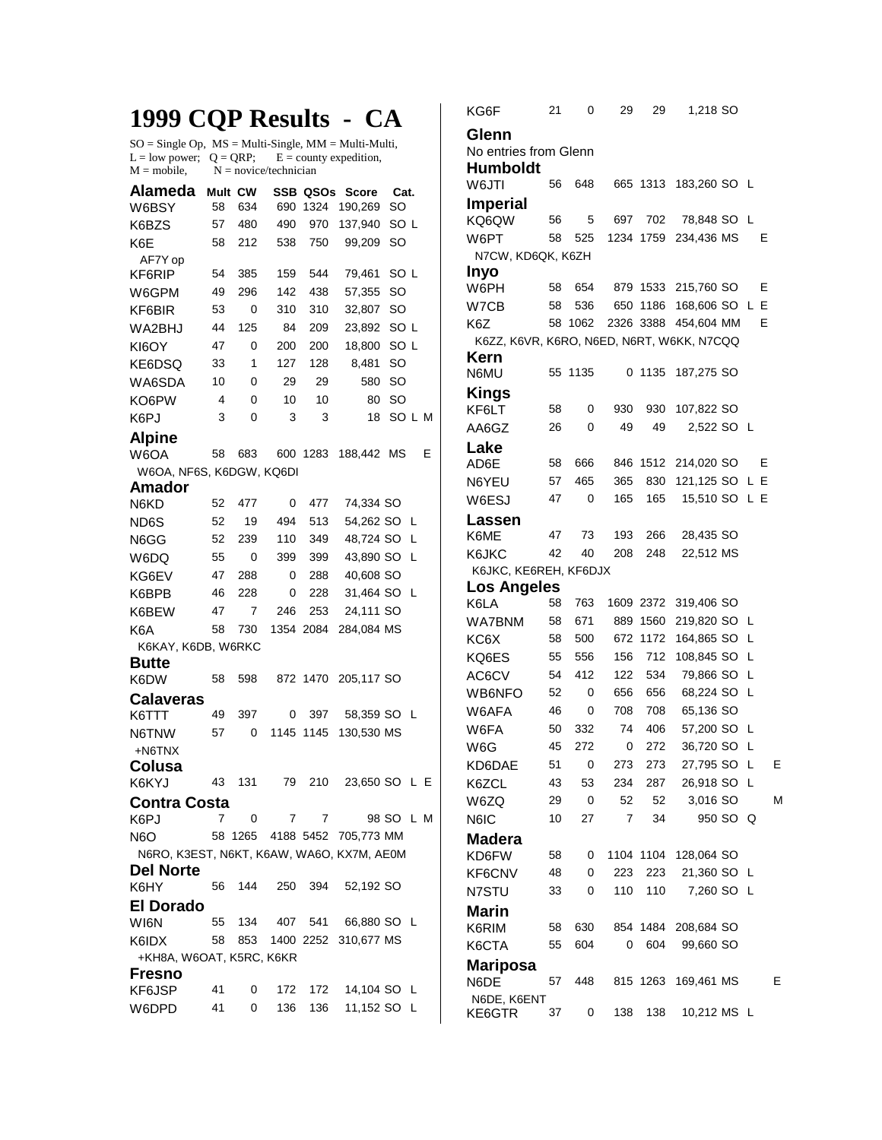## **1999 CQP Results - CA**

 $SO = Single Op$ ,  $MS = Multi-Single$ ,  $MM = Multi-Multi$ ,  $L = low power$ ;  $Q = QRP$ ;  $E = county$  expedition,  $M = mobile$ ,  $N = novice/technician$ 

| Alameda                                   | Mult CW |         |      | SSB QSOs  | Score                | Cat.            |   |  |  |  |  |
|-------------------------------------------|---------|---------|------|-----------|----------------------|-----------------|---|--|--|--|--|
| W6BSY                                     | 58      | 634     | 690  | 1324      | 190,269              | SO              |   |  |  |  |  |
| K6BZS                                     | 57      | 480     | 490  | 970       | 137,940              | SO L            |   |  |  |  |  |
| K6E                                       | 58      | 212     | 538  | 750       | 99,209               | SO              |   |  |  |  |  |
| AF7Y op                                   |         |         |      |           |                      |                 |   |  |  |  |  |
| KF6RIP                                    | 54      | 385     | 159  | 544       | 79,461               | SO <sub>L</sub> |   |  |  |  |  |
| W6GPM                                     | 49      | 296     | 142  | 438       | 57,355               | <b>SO</b>       |   |  |  |  |  |
| KF6BIR                                    | 53      | 0       | 310  | 310       | 32,807               | <b>SO</b>       |   |  |  |  |  |
| WA2BHJ                                    | 44      | 125     | 84   | 209       | 23,892               | SO <sub>L</sub> |   |  |  |  |  |
| KI6OY                                     | 47      | 0       | 200  | 200       | 18,800               | SO L            |   |  |  |  |  |
| KE6DSQ                                    | 33      | 1       | 127  | 128       | 8,481                | SO              |   |  |  |  |  |
| WA6SDA                                    | 10      | 0       | 29   | 29        | 580                  | SO              |   |  |  |  |  |
| KO6PW                                     | 4       | 0       | 10   | 10        | 80                   | SO              |   |  |  |  |  |
| K6PJ                                      | 3       | 0       | 3    | 3         | 18                   | SOLM            |   |  |  |  |  |
| <b>Alpine</b>                             |         |         |      |           |                      |                 |   |  |  |  |  |
| W6OA                                      | 58      | 683     |      | 600 1283  | 188,442 MS           |                 | Е |  |  |  |  |
| W6OA, NF6S, K6DGW, KQ6DI                  |         |         |      |           |                      |                 |   |  |  |  |  |
| Amador                                    |         |         |      |           |                      |                 |   |  |  |  |  |
| N6KD                                      | 52      | 477     | 0    | 477       | 74,334 SO            |                 |   |  |  |  |  |
| ND6S                                      | 52      | 19      | 494  | 513       | 54,262 SO            | L               |   |  |  |  |  |
| N6GG                                      | 52      | 239     | 110  | 349       | 48,724 SO            | L               |   |  |  |  |  |
| W6DQ                                      | 55      | 0       | 399  | 399       | 43,890 SO            | L               |   |  |  |  |  |
| KG6EV                                     | 47      | 288     | 0    | 288       | 40,608 SO            |                 |   |  |  |  |  |
| K6BPB                                     | 46      | 228     | 0    | 228       | 31,464 SO            | -L              |   |  |  |  |  |
| K6BEW                                     | 47      | 7       | 246  | 253       | 24,111 SO            |                 |   |  |  |  |  |
| K <sub>6</sub> A                          | 58      | 730     |      | 1354 2084 | 284,084 MS           |                 |   |  |  |  |  |
| K6KAY, K6DB, W6RKC                        |         |         |      |           |                      |                 |   |  |  |  |  |
| <b>Butte</b>                              |         |         |      |           |                      |                 |   |  |  |  |  |
| K6DW                                      | 58      | 598     |      | 872 1470  | 205,117 SO           |                 |   |  |  |  |  |
| Calaveras                                 |         |         |      |           |                      |                 |   |  |  |  |  |
| K6TTT                                     | 49      | 397     | 0    | 397       | 58,359 SO L          |                 |   |  |  |  |  |
| N6TNW                                     | 57      | 0       | 1145 | 1145      | 130,530 MS           |                 |   |  |  |  |  |
| +N6TNX                                    |         |         |      |           |                      |                 |   |  |  |  |  |
| Colusa                                    |         |         |      |           |                      |                 |   |  |  |  |  |
| K6KYJ                                     | 43      | 131     | 79   | 210       |                      | 23,650 SO L E   |   |  |  |  |  |
| <b>Contra Costa</b>                       |         |         |      |           |                      |                 |   |  |  |  |  |
| K6PJ                                      | 7       | 0       | 7    | 7         |                      | 98 SO L M       |   |  |  |  |  |
| N6O                                       |         | 58 1265 |      |           | 4188 5452 705,773 MM |                 |   |  |  |  |  |
| N6RO, K3EST, N6KT, K6AW, WA6O, KX7M, AE0M |         |         |      |           |                      |                 |   |  |  |  |  |
| <b>Del Norte</b>                          |         |         |      |           |                      |                 |   |  |  |  |  |
| K6HY                                      | 56      | 144     | 250  | 394       | 52,192 SO            |                 |   |  |  |  |  |
| <b>El Dorado</b>                          |         |         |      |           |                      |                 |   |  |  |  |  |
| WI6N                                      | 55      | 134     | 407  | 541       | 66,880 SO L          |                 |   |  |  |  |  |
| K6IDX                                     | 58      | 853     |      | 1400 2252 | 310,677 MS           |                 |   |  |  |  |  |
| +KH8A, W6OAT, K5RC, K6KR                  |         |         |      |           |                      |                 |   |  |  |  |  |
| Fresno                                    |         |         |      |           |                      |                 |   |  |  |  |  |
| KF6JSP                                    | 41      | 0       | 172  | 172       | 14,104 SO L          |                 |   |  |  |  |  |
| W6DPD                                     | 41      | 0       | 136  | 136       | 11,152 SO L          |                 |   |  |  |  |  |

KG6F 21 0 29 29 1,218 SO **Glenn**  No entries from Glenn **Humboldt**  W6JTI 56 648 665 1313 183,260 SO L **Imperial**  56 5 697 702 78,848 SO L W6PT 58 525 1234 1759 234,436 MS E N7CW, KD6QK, K6ZH **Inyo**  W6PH 58 654 879 1533 215,760 SO E W7CB 58 536 650 1186 168,606 SO L E K6Z 58 1062 2326 3388 454,604 MM E K6ZZ, K6VR, K6RO, N6ED, N6RT, W6KK, N7CQQ **Kern**  N6MU 55 1135 0 1135 187,275 SO **Kings**  KF6LT 58 0 930 930 107,822 SO AA6GZ 26 0 49 49 2,522 SO L **Lake**  AD6E 58 666 846 1512 214,020 SO E N6YEU 57 465 365 830 121,125 SO L E W6ESJ 47 0 165 165 15,510 SO L E **Lassen**  K6ME 47 73 193 266 28,435 SO K6JKC 42 40 208 248 22,512 MS K6JKC, KE6REH, KF6DJX **Los Angeles**  K6LA 58 763 1609 2372 319,406 SO WA7BNM 58 671 889 1560 219,820 SO L KC6X 58 500 672 1172 164,865 SO L KQ6ES 55 556 156 712 108,845 SO L AC6CV 54 412 122 534 79,866 SO L WB6NFO 52 0 656 656 68,224 SO L W6AFA 46 0 708 708 65,136 SO W6FA 50 332 74 406 57,200 SO L W6G 45 272 0 272 36,720 SO L KD6DAE 51 0 273 273 27,795 SO L E K6ZCL 43 53 234 287 26,918 SO L W6ZQ 29 0 52 52 3,016 SO M N6IC 10 27 7 34 950 SO Q **Madera**  58 0 1104 1104 128,064 SO KF6CNV 48 0 223 223 21,360 SO L N7STU 33 0 110 110 7,260 SO L **Marin**  K6RIM 58 630 854 1484 208,684 SO K6CTA 55 604 0 604 99,660 SO **Mariposa**  57 448 815 1263 169,461 MS E N6DE, K6ENT KE6GTR 37 0 138 138 10,212 MS L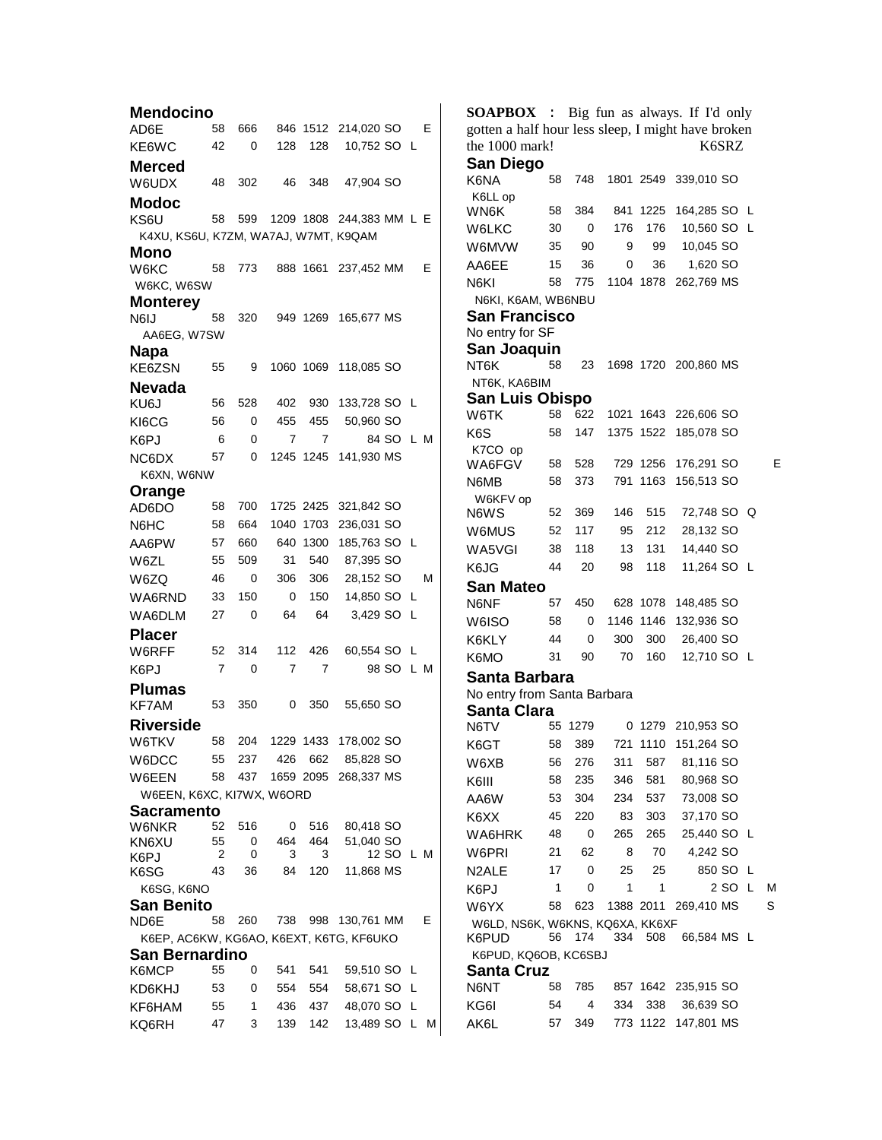**Mendocino**  AD6E 58 666 846 1512 214,020 SO E KE6WC 42 0 128 128 10,752 SO L **Merced**  48 302 46 348 47,904 SO **Modoc**  KS6U 58 599 1209 1808 244,383 MM L E K4XU, KS6U, K7ZM, WA7AJ, W7MT, K9QAM **Mono**  W6KC 58 773 888 1661 237,452 MM E W6KC, W6SW **Monterey**  N6IJ 58 320 949 1269 165,677 MS AA6EG, W7SW **Napa**  KE6ZSN 55 9 1060 1069 118,085 SO **Nevada**  KU6J 56 528 402 930 133,728 SO L KI6CG 56 0 455 455 50,960 SO K6PJ 6 0 7 7 84 SO L M NC6DX 57 0 1245 1245 141,930 MS K6XN, W6NW **Orange**  AD6DO 58 700 1725 2425 321,842 SO N6HC 58 664 1040 1703 236,031 SO AA6PW 57 660 640 1300 185,763 SO L W6ZL 55 509 31 540 87,395 SO W6ZQ 46 0 306 306 28,152 SO M WA6RND 33 150 0 150 14,850 SO L WA6DLM 27 0 64 64 3,429 SO L **Placer**  52 314 112 426 60,554 SO L K6PJ 7 0 7 7 98 SO L M **Plumas**  KF7AM 53 350 0 350 55,650 SO **Riverside**  W6TKV 58 204 1229 1433 178,002 SO W6DCC 55 237 426 662 85,828 SO W6EEN 58 437 1659 2095 268,337 MS W6EEN, K6XC, KI7WX, W6ORD **Sacramento**  W6NKR 52 516 0 516 80,418 SO KN6XU K6PJ<br>K6SG 55 2  $\Omega$ 0 464 3 464 3 51,040 SO 12 SO L M 43 36 84 120 11,868 MS K6SG, K6NO **San Benito**<br>ND6F 58 260 738 998 130,761 MM E K6EP, AC6KW, KG6AO, K6EXT, K6TG, KF6UKO **San Bernardino**<br>K6MCP 55 55 0 541 541 59.510 SO L KD6KHJ 53 0 554 554 58,671 SO L KF6HAM 55 1 436 437 48,070 SO L KQ6RH 47 3 139 142 13,489 SO L M

**SOAPBOX** : Big fun as always. If I'd only gotten a half hour less sleep, I might have broken the 1000 mark! K6SRZ **San Diego**  58 748 1801 2549 339,010 SO K6LL op WN6K 58 384 841 1225 164,285 SO L W6LKC 30 0 176 176 10,560 SO L W6MVW 35 90 9 99 10,045 SO AA6EE 15 36 0 36 1,620 SO N6KI 58 775 1104 1878 262,769 MS N6KI, K6AM, WB6NBU **San Francisco**  No entry for SF **San Joaquin**  NT6K 58 23 1698 1720 200,860 MS NT6K, KA6BIM **San Luis Obispo**<br>W6TK 58 622 W6TK 58 622 1021 1643 226,606 SO K6S 58 147 1375 1522 185,078 SO K7CO op WA6FGV 58 528 729 1256 176,291 SO E N6MB 58 373 791 1163 156,513 SO W6KFV op N6WS 52 369 146 515 72,748 SO Q W6MUS 52 117 95 212 28,132 SO WA5VGI 38 118 13 131 14,440 SO K6JG 44 20 98 118 11,264 SO L **San Mateo**  N6NF 57 450 628 1078 148,485 SO W6ISO 58 0 1146 1146 132,936 SO K6KLY 44 0 300 300 26,400 SO K6MO 31 90 70 160 12,710 SO L **Santa Barbara**  No entry from Santa Barbara **Santa Clara**<br>N6TV 55 1279 0 1279 210,953 SO K6GT 58 389 721 1110 151,264 SO W6XB 56 276 311 587 81,116 SO K6III 58 235 346 581 80,968 SO AA6W 53 304 234 537 73,008 SO K6XX 45 220 83 303 37,170 SO WA6HRK 48 0 265 265 25,440 SO L W6PRI 21 62 8 70 4,242 SO N2ALE 17 0 25 25 850 SO L K6PJ 1 0 1 1 2 SO L M W6YX 58 623 1388 2011 269,410 MS S W6LD, NS6K, W6KNS, KQ6XA, KK6XF K6PUD 56 174 334 508 66,584 MS L K6PUD, KQ6OB, KC6SBJ **Santa Cruz**  N6NT 58 785 857 1642 235,915 SO KG6I 54 4 334 338 36,639 SO AK6L 57 349 773 1122 147,801 MS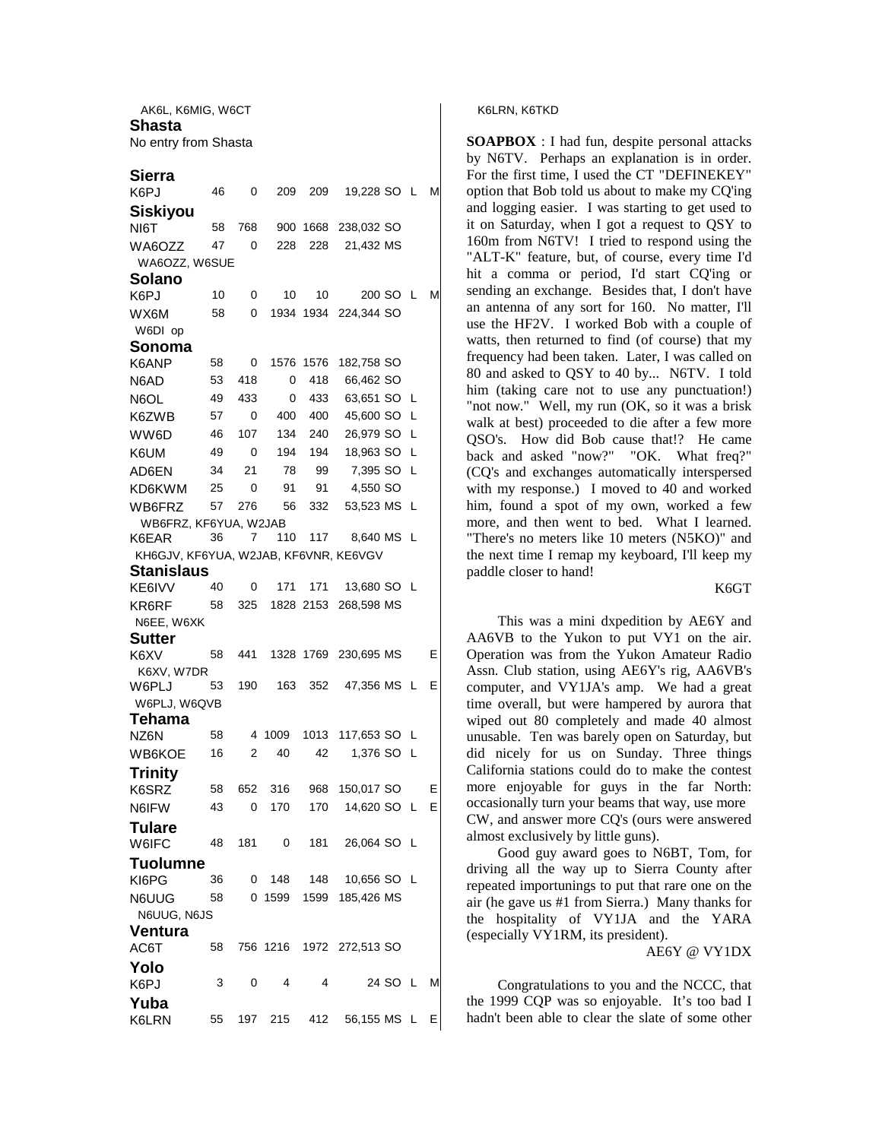AK6L, K6MIG, W6CT **Shasta**  No entry from Shasta

## **Sierra**

| K6PJ                                  | 46 | 0   | 209      | 209       | 19,228 SO L     |          |    | М |  |  |  |  |  |
|---------------------------------------|----|-----|----------|-----------|-----------------|----------|----|---|--|--|--|--|--|
| <b>Siskiyou</b>                       |    |     |          |           |                 |          |    |   |  |  |  |  |  |
| NI6T                                  | 58 | 768 | 900      | 1668      | 238,032 SO      |          |    |   |  |  |  |  |  |
| WA6OZZ                                | 47 | 0   | 228      | 228       | 21,432 MS       |          |    |   |  |  |  |  |  |
| WA6OZZ, W6SUE                         |    |     |          |           |                 |          |    |   |  |  |  |  |  |
| Solano                                |    |     |          |           |                 |          |    |   |  |  |  |  |  |
| K6PJ                                  | 10 | 0   | 10       | 10        |                 | 200 SO L |    | М |  |  |  |  |  |
| WX6M                                  | 58 | 0   |          | 1934 1934 | 224,344 SO      |          |    |   |  |  |  |  |  |
| W6DI op                               |    |     |          |           |                 |          |    |   |  |  |  |  |  |
| Sonoma                                |    |     |          |           |                 |          |    |   |  |  |  |  |  |
| K6ANP                                 | 58 | 0   | 1576     | 1576      | 182,758 SO      |          |    |   |  |  |  |  |  |
| N6AD                                  | 53 | 418 | 0        | 418       | 66,462 SO       |          |    |   |  |  |  |  |  |
| N6OL                                  | 49 | 433 | 0        | 433       | 63,651 SO       |          | L  |   |  |  |  |  |  |
| K6ZWB                                 | 57 | 0   | 400      | 400       | 45,600 SO       |          | L  |   |  |  |  |  |  |
| WW6D                                  | 46 | 107 | 134      | 240       | 26,979 SO       |          | L  |   |  |  |  |  |  |
| K6UM                                  | 49 | 0   | 194      | 194       | 18,963 SO       |          | L  |   |  |  |  |  |  |
| AD6EN                                 | 34 | 21  | 78       | 99        | 7,395 SO        |          | L  |   |  |  |  |  |  |
| KD6KWM                                | 25 | 0   | 91       | 91        | 4,550 SO        |          |    |   |  |  |  |  |  |
| WB6FRZ                                | 57 | 276 | 56       | 332       | 53,523 MS       |          | L  |   |  |  |  |  |  |
| WB6FRZ, KF6YUA, W2JAB                 |    |     |          |           |                 |          |    |   |  |  |  |  |  |
| K6EAR                                 | 36 | 7   | 110      | 117       | 8,640 MS L      |          |    |   |  |  |  |  |  |
| KH6GJV, KF6YUA, W2JAB, KF6VNR, KE6VGV |    |     |          |           |                 |          |    |   |  |  |  |  |  |
| Stanislaus                            |    |     |          |           |                 |          |    |   |  |  |  |  |  |
| KE6IVV                                | 40 | 0   | 171      | 171       | 13,680 SO L     |          |    |   |  |  |  |  |  |
| KR6RF                                 | 58 | 325 |          | 1828 2153 | 268,598 MS      |          |    |   |  |  |  |  |  |
| N6EE, W6XK                            |    |     |          |           |                 |          |    |   |  |  |  |  |  |
| <b>Sutter</b>                         |    |     |          |           |                 |          |    |   |  |  |  |  |  |
| K6XV                                  | 58 | 441 |          | 1328 1769 | 230,695 MS      |          |    | Е |  |  |  |  |  |
| K6XV, W7DR                            |    |     |          |           |                 |          |    |   |  |  |  |  |  |
| W6PLJ                                 | 53 | 190 | 163      | 352       | 47,356 MS L     |          |    | Е |  |  |  |  |  |
| W6PLJ, W6QVB                          |    |     |          |           |                 |          |    |   |  |  |  |  |  |
| Tehama                                | 58 | 4   | 1009     | 1013      | 117,653 SO L    |          |    |   |  |  |  |  |  |
| NZ6N                                  | 16 | 2   | 40       | 42        | 1,376 SO        |          | -L |   |  |  |  |  |  |
| WB6KOE                                |    |     |          |           |                 |          |    |   |  |  |  |  |  |
| Trinity                               |    |     |          |           |                 |          |    |   |  |  |  |  |  |
| K6SRZ                                 | 58 | 652 | 316      | 968       | 150,017 SO      |          |    | Е |  |  |  |  |  |
| N6IFW                                 | 43 | 0   | 170      | 170       | 14,620 SO L     |          |    | Е |  |  |  |  |  |
| <b>Tulare</b>                         |    |     |          |           |                 |          |    |   |  |  |  |  |  |
| W6IFC                                 | 48 | 181 | 0        | 181       | 26,064 SO L     |          |    |   |  |  |  |  |  |
| <b>Tuolumne</b>                       |    |     |          |           |                 |          |    |   |  |  |  |  |  |
| KI6PG                                 | 36 |     | $0$ 148  | 148       | 10,656 SO L     |          |    |   |  |  |  |  |  |
| N6UUG                                 | 58 |     | 0 1599   | 1599      | 185,426 MS      |          |    |   |  |  |  |  |  |
| N6UUG, N6JS                           |    |     |          |           |                 |          |    |   |  |  |  |  |  |
| <b>Ventura</b>                        |    |     |          |           |                 |          |    |   |  |  |  |  |  |
| AC6T                                  | 58 |     | 756 1216 |           | 1972 272,513 SO |          |    |   |  |  |  |  |  |
| Yolo                                  |    |     |          |           |                 |          |    |   |  |  |  |  |  |
| K6PJ                                  | 3  | 0   | 4        | 4         |                 | 24 SO L  |    | М |  |  |  |  |  |
| Yuba                                  |    |     |          |           |                 |          |    |   |  |  |  |  |  |
| K6LRN                                 | 55 |     | 197 215  | 412       | 56,155 MS L     |          |    | Е |  |  |  |  |  |

K6LRN, K6TKD

**SOAPBOX** : I had fun, despite personal attacks by N6TV. Perhaps an explanation is in order. For the first time, I used the CT "DEFINEKEY" option that Bob told us about to make my CQ'ing and logging easier. I was starting to get used to it on Saturday, when I got a request to QSY to 160m from N6TV! I tried to respond using the "ALT-K" feature, but, of course, every time I'd hit a comma or period, I'd start CQ'ing or sending an exchange. Besides that, I don't have an antenna of any sort for 160. No matter, I'll use the HF2V. I worked Bob with a couple of watts, then returned to find (of course) that my frequency had been taken. Later, I was called on 80 and asked to QSY to 40 by... N6TV. I told him (taking care not to use any punctuation!) "not now." Well, my run (OK, so it was a brisk walk at best) proceeded to die after a few more QSO's. How did Bob cause that!? He came back and asked "now?" "OK. What freq?" (CQ's and exchanges automatically interspersed with my response.) I moved to 40 and worked him, found a spot of my own, worked a few more, and then went to bed. What I learned. "There's no meters like 10 meters (N5KO)" and the next time I remap my keyboard, I'll keep my paddle closer to hand!

## K6GT

This was a mini dxpedition by AE6Y and AA6VB to the Yukon to put VY1 on the air. Operation was from the Yukon Amateur Radio Assn. Club station, using AE6Y's rig, AA6VB's computer, and VY1JA's amp. We had a great time overall, but were hampered by aurora that wiped out 80 completely and made 40 almost unusable. Ten was barely open on Saturday, but did nicely for us on Sunday. Three things California stations could do to make the contest more enjoyable for guys in the far North: occasionally turn your beams that way, use more CW, and answer more CQ's (ours were answered almost exclusively by little guns).

Good guy award goes to N6BT, Tom, for driving all the way up to Sierra County after repeated importunings to put that rare one on the air (he gave us #1 from Sierra.) Many thanks for the hospitality of VY1JA and the YARA (especially VY1RM, its president).

AE6Y @ VY1DX

Congratulations to you and the NCCC, that the 1999 CQP was so enjoyable. It's too bad I hadn't been able to clear the slate of some other